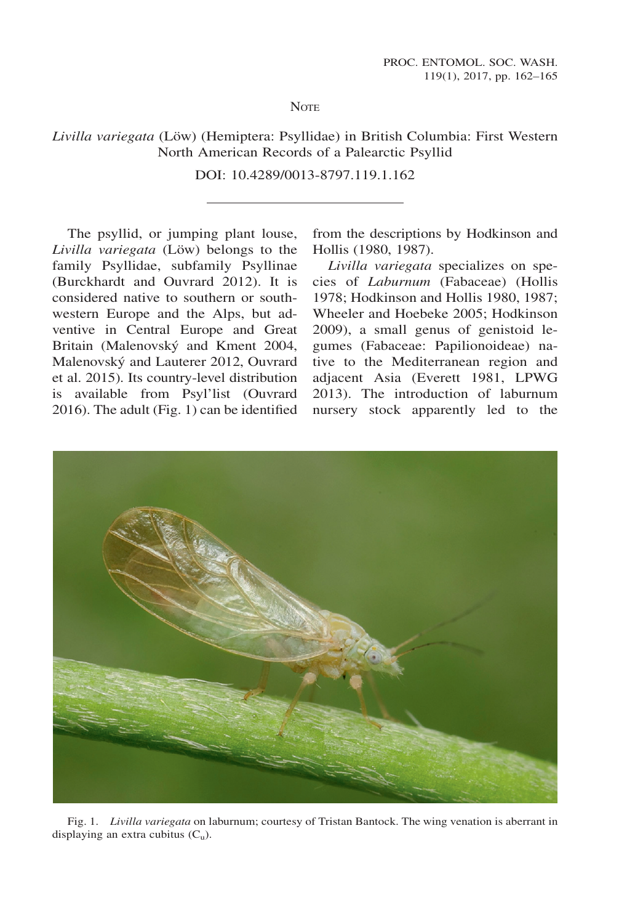**NOTE** 

Livilla variegata (Löw) (Hemiptera: Psyllidae) in British Columbia: First Western North American Records of a Palearctic Psyllid

DOI: 10.4289/0013-8797.119.1.162

The psyllid, or jumping plant louse, Livilla variegata (Löw) belongs to the family Psyllidae, subfamily Psyllinae (Burckhardt and Ouvrard 2012). It is considered native to southern or southwestern Europe and the Alps, but adventive in Central Europe and Great Britain (Malenovský and Kment 2004, Malenovsky and Lauterer 2012, Ouvrard et al. 2015). Its country-level distribution is available from Psyl'list (Ouvrard 2016). The adult (Fig. 1) can be identified

from the descriptions by Hodkinson and Hollis (1980, 1987).

Livilla variegata specializes on species of Laburnum (Fabaceae) (Hollis 1978; Hodkinson and Hollis 1980, 1987; Wheeler and Hoebeke 2005; Hodkinson 2009), a small genus of genistoid legumes (Fabaceae: Papilionoideae) native to the Mediterranean region and adjacent Asia (Everett 1981, LPWG 2013). The introduction of laburnum nursery stock apparently led to the



Fig. 1. Livilla variegata on laburnum; courtesy of Tristan Bantock. The wing venation is aberrant in displaying an extra cubitus  $(C_{\mathrm{u}})$ .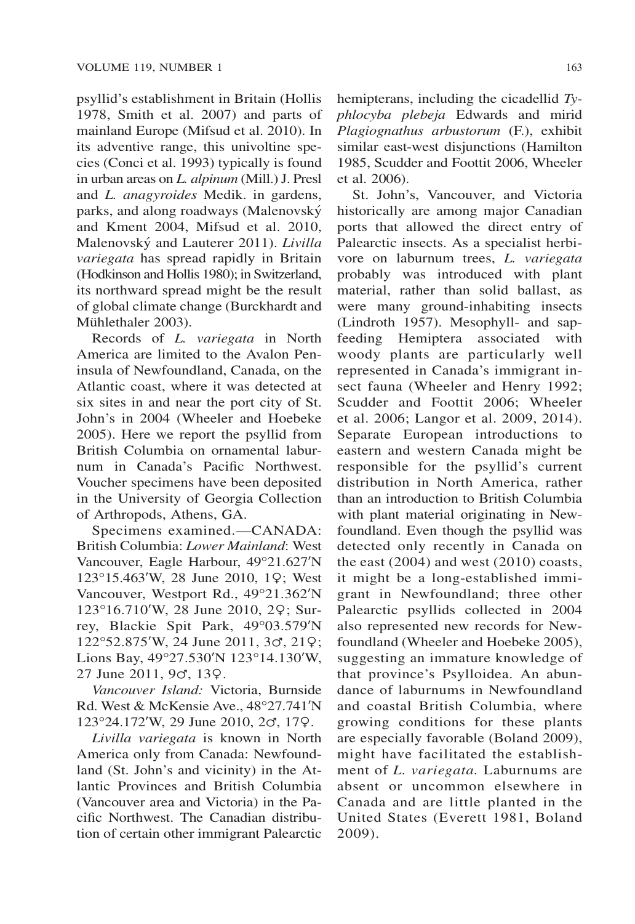psyllid's establishment in Britain (Hollis 1978, Smith et al. 2007) and parts of mainland Europe (Mifsud et al. 2010). In its adventive range, this univoltine species (Conci et al. 1993) typically is found in urban areas on L. alpinum (Mill.) J. Presl and L. anagyroides Medik. in gardens, parks, and along roadways (Malenovsky and Kment 2004, Mifsud et al. 2010, Malenovský and Lauterer 2011). Livilla variegata has spread rapidly in Britain (Hodkinson and Hollis 1980); in Switzerland, its northward spread might be the result of global climate change (Burckhardt and Mühlethaler 2003).

Records of L. variegata in North America are limited to the Avalon Peninsula of Newfoundland, Canada, on the Atlantic coast, where it was detected at six sites in and near the port city of St. John's in 2004 (Wheeler and Hoebeke 2005). Here we report the psyllid from British Columbia on ornamental laburnum in Canada's Pacific Northwest. Voucher specimens have been deposited in the University of Georgia Collection of Arthropods, Athens, GA.

Specimens examined.—CANADA: British Columbia: Lower Mainland: West Vancouver, Eagle Harbour, 49°21.627ʹN 123°15.463ʹW, 28 June 2010, 1♀; West Vancouver, Westport Rd., 49°21.362ʹN 123°16.710ʹW, 28 June 2010, 2♀; Surrey, Blackie Spit Park, 49°03.579ʹN 122°52.875ʹW, 24 June 2011, 3♂, 21♀; Lions Bay, 49°27.530ʹN 123°14.130ʹW, 27 June 2011, 9♂, 13♀.

Vancouver Island: Victoria, Burnside Rd. West & McKensie Ave., 48°27.741ʹN 123°24.172ʹW, 29 June 2010, 2♂, 17♀.

Livilla variegata is known in North America only from Canada: Newfoundland (St. John's and vicinity) in the Atlantic Provinces and British Columbia (Vancouver area and Victoria) in the Pacific Northwest. The Canadian distribution of certain other immigrant Palearctic hemipterans, including the cicadellid Typhlocyba plebeja Edwards and mirid Plagiognathus arbustorum (F.), exhibit similar east-west disjunctions (Hamilton 1985, Scudder and Foottit 2006, Wheeler et al. 2006).

St. John's, Vancouver, and Victoria historically are among major Canadian ports that allowed the direct entry of Palearctic insects. As a specialist herbivore on laburnum trees, L. variegata probably was introduced with plant material, rather than solid ballast, as were many ground-inhabiting insects (Lindroth 1957). Mesophyll- and sapfeeding Hemiptera associated with woody plants are particularly well represented in Canada's immigrant insect fauna (Wheeler and Henry 1992; Scudder and Foottit 2006; Wheeler et al. 2006; Langor et al. 2009, 2014). Separate European introductions to eastern and western Canada might be responsible for the psyllid's current distribution in North America, rather than an introduction to British Columbia with plant material originating in Newfoundland. Even though the psyllid was detected only recently in Canada on the east (2004) and west (2010) coasts, it might be a long-established immigrant in Newfoundland; three other Palearctic psyllids collected in 2004 also represented new records for Newfoundland (Wheeler and Hoebeke 2005), suggesting an immature knowledge of that province's Psylloidea. An abundance of laburnums in Newfoundland and coastal British Columbia, where growing conditions for these plants are especially favorable (Boland 2009), might have facilitated the establishment of L. variegata. Laburnums are absent or uncommon elsewhere in Canada and are little planted in the United States (Everett 1981, Boland 2009).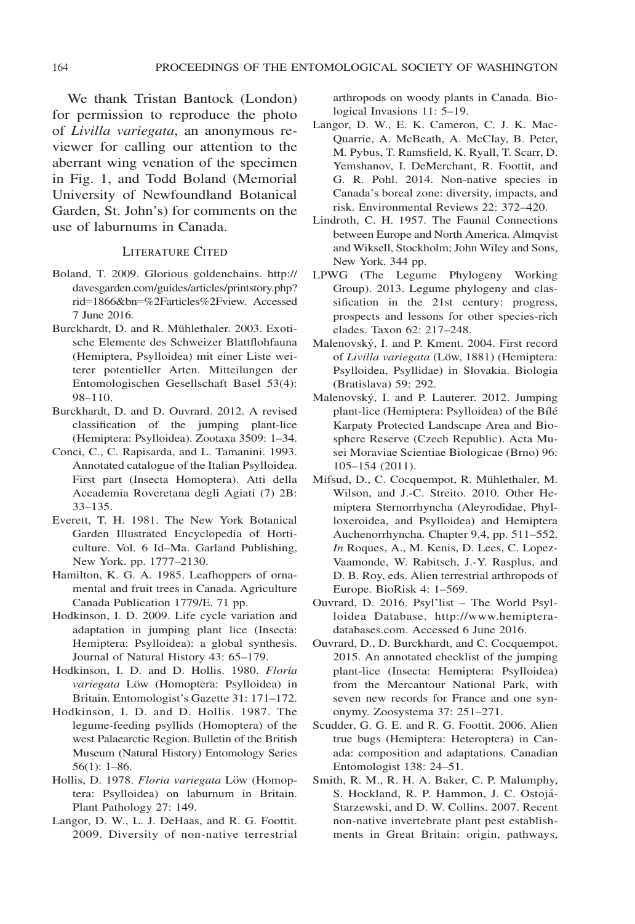We thank Tristan Bantock (London) for permission to reproduce the photo of Livilla variegata, an anonymous reviewer for calling our attention to the aberrant wing venation of the specimen in Fig. 1, and Todd Boland (Memorial University of Newfoundland Botanical Garden, St. John's) for comments on the use of laburnums in Canada.

## LITERATURE CITED

- Boland, T. 2009. Glorious goldenchains. [http://](http://davesgarden.com/guides/articles/printstory) [davesgarden.com/guides/articles/printstory.](http://davesgarden.com/guides/articles/printstory)php? rid=1866&bn=%2Farticles%2Fview. Accessed 7 June 2016.
- Burckhardt, D. and R. Mühlethaler. 2003. Exotische Elemente des Schweizer Blattflohfauna (Hemiptera, Psylloidea) mit einer Liste weiterer potentieller Arten. Mitteilungen der Entomologischen Gesellschaft Basel 53(4): 98–110.
- Burckhardt, D. and D. Ouvrard. 2012. A revised classification of the jumping plant-lice (Hemiptera: Psylloidea). Zootaxa 3509: 1–34.
- Conci, C., C. Rapisarda, and L. Tamanini. 1993. Annotated catalogue of the Italian Psylloidea. First part (Insecta Homoptera). Atti della Accademia Roveretana degli Agiati (7) 2B: 33–135.
- Everett, T. H. 1981. The New York Botanical Garden Illustrated Encyclopedia of Horticulture. Vol. 6 Id–Ma. Garland Publishing, New York. pp. 1777–2130.
- Hamilton, K. G. A. 1985. Leafhoppers of ornamental and fruit trees in Canada. Agriculture Canada Publication 1779/E. 71 pp.
- Hodkinson, I. D. 2009. Life cycle variation and adaptation in jumping plant lice (Insecta: Hemiptera: Psylloidea): a global synthesis. Journal of Natural History 43: 65–179.
- Hodkinson, I. D. and D. Hollis. 1980. Floria variegata Löw (Homoptera: Psylloidea) in Britain. Entomologist's Gazette 31: 171–172.
- Hodkinson, I. D. and D. Hollis. 1987. The legume-feeding psyllids (Homoptera) of the west Palaearctic Region. Bulletin of the British Museum (Natural History) Entomology Series 56(1): 1–86.
- Hollis, D. 1978. Floria variegata Löw (Homoptera: Psylloidea) on laburnum in Britain. Plant Pathology 27: 149.
- Langor, D. W., L. J. DeHaas, and R. G. Foottit. 2009. Diversity of non-native terrestrial

arthropods on woody plants in Canada. Biological Invasions 11: 5–19.

- Langor, D. W., E. K. Cameron, C. J. K. Mac-Quarrie, A. McBeath, A. McClay, B. Peter, M. Pybus, T. Ramsfield, K. Ryall, T. Scarr, D. Yemshanov, I. DeMerchant, R. Foottit, and G. R. Pohl. 2014. Non-native species in Canada's boreal zone: diversity, impacts, and risk. Environmental Reviews 22: 372–420.
- Lindroth, C. H. 1957. The Faunal Connections between Europe and North America. Almqvist and Wiksell, Stockholm; John Wiley and Sons, New York. 344 pp.
- LPWG (The Legume Phylogeny Working Group). 2013. Legume phylogeny and classification in the 21st century: progress, prospects and lessons for other species-rich clades. Taxon 62: 217–248.
- Malenovsky, I. and P. Kment. 2004. First record of Livilla variegata (Löw, 1881) (Hemiptera: Psylloidea, Psyllidae) in Slovakia. Biologia (Bratislava) 59: 292.
- Malenovsky, I. and P. Lauterer. 2012. Jumping plant-lice (Hemiptera: Psylloidea) of the Bıle Karpaty Protected Landscape Area and Biosphere Reserve (Czech Republic). Acta Musei Moraviae Scientiae Biologicae (Brno) 96: 105–154 (2011).
- Mifsud, D., C. Cocquempot, R. Mühlethaler, M. Wilson, and J.-C. Streito. 2010. Other Hemiptera Sternorrhyncha (Aleyrodidae, Phylloxeroidea, and Psylloidea) and Hemiptera Auchenorrhyncha. Chapter 9.4, pp. 511–552. In Roques, A., M. Kenis, D. Lees, C. Lopez-Vaamonde, W. Rabitsch, J.-Y. Rasplus, and D. B. Roy, eds. Alien terrestrial arthropods of Europe. BioRisk 4: 1–569.
- Ouvrard, D. 2016. Psyl'list The World Psylloidea Database. [http://www.hemiptera](http://www.hemiptera-databases.com)[databases.com](http://www.hemiptera-databases.com). Accessed 6 June 2016.
- Ouvrard, D., D. Burckhardt, and C. Cocquempot. 2015. An annotated checklist of the jumping plant-lice (Insecta: Hemiptera: Psylloidea) from the Mercantour National Park, with seven new records for France and one synonymy. Zoosystema 37: 251–271.
- Scudder, G. G. E. and R. G. Foottit. 2006. Alien true bugs (Hemiptera: Heteroptera) in Canada: composition and adaptations. Canadian Entomologist 138: 24–51.
- Smith, R. M., R. H. A. Baker, C. P. Malumphy, S. Hockland, R. P. Hammon, J. C. Ostoja-Starzewski, and D. W. Collins. 2007. Recent non-native invertebrate plant pest establishments in Great Britain: origin, pathways,